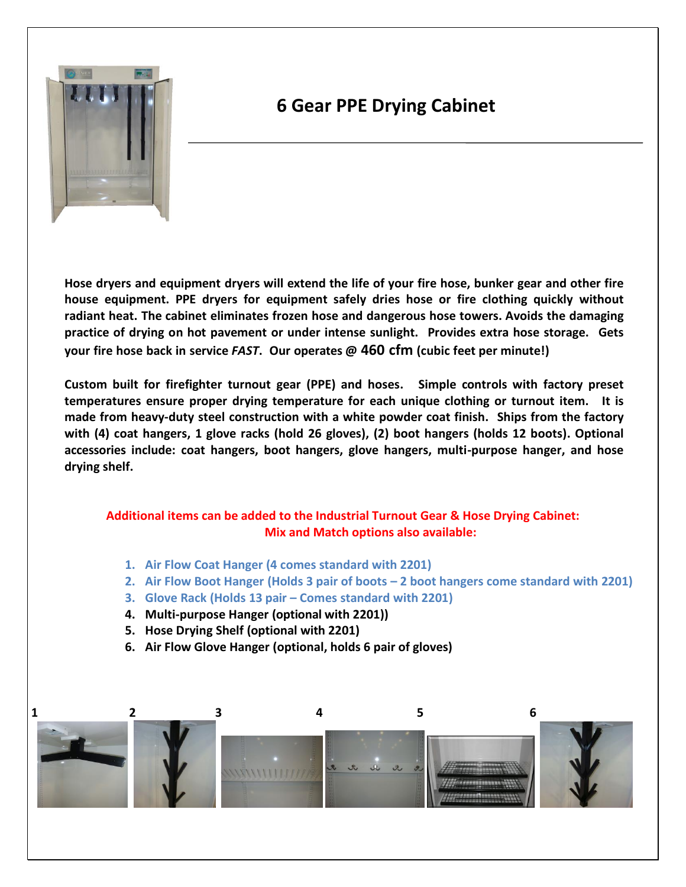

# **6 Gear PPE Drying Cabinet**

**Hose dryers and equipment dryers will extend the life of your fire hose, bunker gear and other fire house equipment. PPE dryers for equipment safely dries hose or fire clothing quickly without radiant heat. The cabinet eliminates frozen hose and dangerous hose towers. Avoids the damaging practice of drying on hot pavement or under intense sunlight. Provides extra hose storage. Gets your fire hose back in service** *FAST***. Our operates @ 460 cfm (cubic feet per minute!)**

**Custom built for firefighter turnout gear (PPE) and hoses. Simple controls with factory preset temperatures ensure proper drying temperature for each unique clothing or turnout item. It is made from heavy-duty steel construction with a white powder coat finish. Ships from the factory with (4) coat hangers, 1 glove racks (hold 26 gloves), (2) boot hangers (holds 12 boots). Optional accessories include: coat hangers, boot hangers, glove hangers, multi-purpose hanger, and hose drying shelf.**

#### **Additional items can be added to the Industrial Turnout Gear & Hose Drying Cabinet: Mix and Match options also available:**

- **1. Air Flow Coat Hanger (4 comes standard with 2201)**
- **2. Air Flow Boot Hanger (Holds 3 pair of boots – 2 boot hangers come standard with 2201)**
- **3. Glove Rack (Holds 13 pair – Comes standard with 2201)**
- **4. Multi-purpose Hanger (optional with 2201))**
- **5. Hose Drying Shelf (optional with 2201)**
- **6. Air Flow Glove Hanger (optional, holds 6 pair of gloves)**